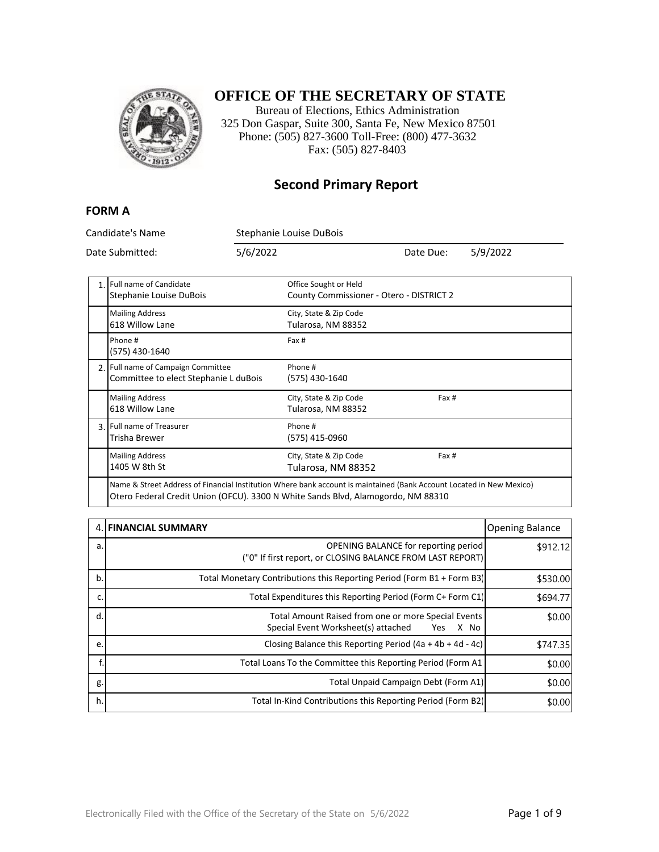

### **OFFICE OF THE SECRETARY OF STATE**

Bureau of Elections, Ethics Administration 325 Don Gaspar, Suite 300, Santa Fe, New Mexico 87501 Phone: (505) 827-3600 Toll-Free: (800) 477-3632 Fax: (505) 827-8403

#### **Second Primary Report**

#### **FORM A**

Candidate's Name Stephanie Louise DuBois Date Submitted: 5/6/2022 Date Due: 5/9/2022 1. Full name of Candidate Stephanie Louise DuBois Office Sought or Held County Commissioner - Otero - DISTRICT 2 Mailing Address 618 Willow Lane City, State & Zip Code Tularosa, NM 88352 Phone # (575) 430-1640 Fax # 2. Full name of Campaign Committee Committee to elect Stephanie L duBois Phone # (575) 430-1640 Mailing Address 618 Willow Lane City, State & Zip Code Tularosa, NM 88352 Fax # 3. Full name of Treasurer Trisha Brewer Phone # (575) 415-0960 Mailing Address 1405 W 8th St City, State & Zip Code Tularosa, NM 88352 Fax # Name & Street Address of Financial Institution Where bank account is maintained (Bank Account Located in New Mexico)

Otero Federal Credit Union (OFCU). 3300 N White Sands Blvd, Alamogordo, NM 88310

|    | 4. FINANCIAL SUMMARY                                                                                      | <b>Opening Balance</b> |
|----|-----------------------------------------------------------------------------------------------------------|------------------------|
| a. | <b>OPENING BALANCE for reporting period</b><br>("0" If first report, or CLOSING BALANCE FROM LAST REPORT) | \$912.12]              |
| b. | Total Monetary Contributions this Reporting Period (Form B1 + Form B3)                                    | \$530.00               |
| c. | Total Expenditures this Reporting Period (Form C+ Form C1)                                                | \$694.77               |
| d. | Total Amount Raised from one or more Special Events<br>Special Event Worksheet(s) attached<br>X No<br>Yes | \$0.00                 |
| e. | Closing Balance this Reporting Period $(4a + 4b + 4d - 4c)$                                               | \$747.35               |
|    | Total Loans To the Committee this Reporting Period (Form A1)                                              | \$0.00                 |
| g. | Total Unpaid Campaign Debt (Form A1)                                                                      | \$0.00                 |
| h. | Total In-Kind Contributions this Reporting Period (Form B2)                                               | \$0.00                 |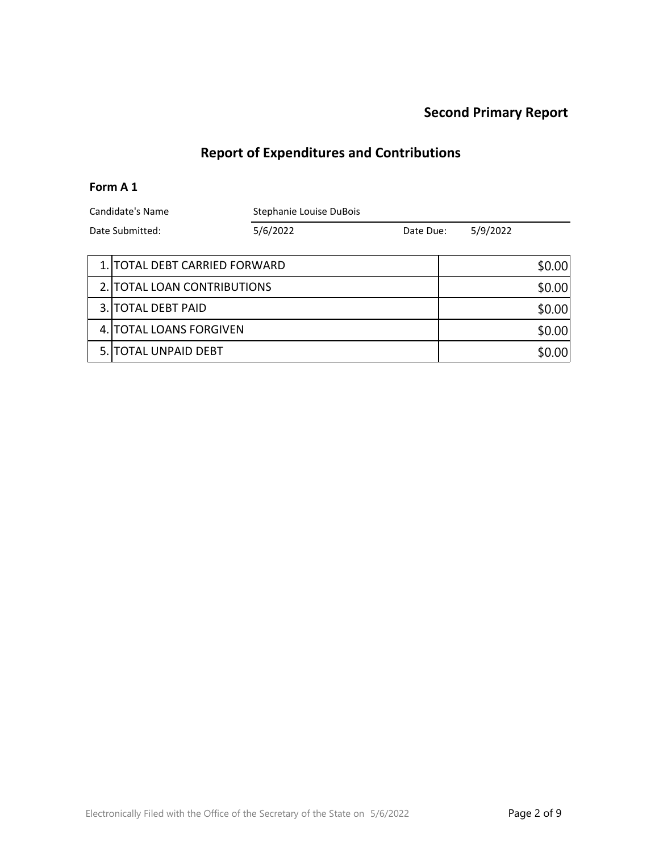# **Report of Expenditures and Contributions**

#### **Form A 1**

| Candidate's Name     |                               | Stephanie Louise DuBois |           |  |          |        |
|----------------------|-------------------------------|-------------------------|-----------|--|----------|--------|
| Date Submitted:      |                               | 5/6/2022                | Date Due: |  | 5/9/2022 |        |
|                      |                               |                         |           |  |          |        |
|                      | 1. TOTAL DEBT CARRIED FORWARD |                         |           |  |          | \$0.00 |
|                      | 2. TOTAL LOAN CONTRIBUTIONS   |                         |           |  |          | \$0.00 |
| 3. TOTAL DEBT PAID   |                               |                         |           |  |          | \$0.00 |
|                      | 4. TOTAL LOANS FORGIVEN       |                         |           |  |          | \$0.00 |
| 5. TOTAL UNPAID DEBT |                               |                         |           |  |          | \$0.00 |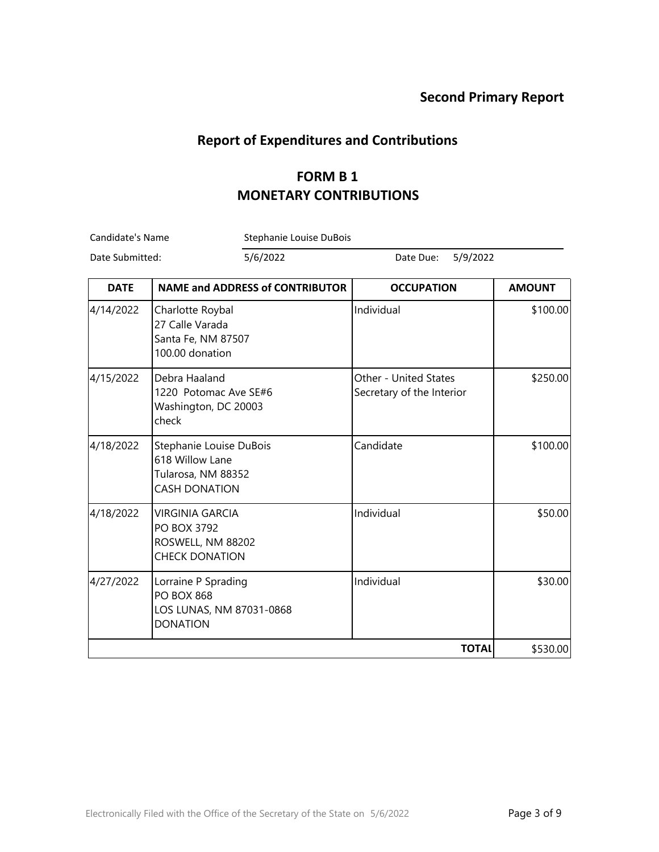### **Report of Expenditures and Contributions**

### **FORM B 1 MONETARY CONTRIBUTIONS**

Candidate's Name Stephanie Louise DuBois

Date Submitted: 5/6/2022 Date Due: 5/9/2022

| <b>DATE</b> | <b>NAME and ADDRESS of CONTRIBUTOR</b>                                                   | <b>OCCUPATION</b>                                  | <b>AMOUNT</b> |
|-------------|------------------------------------------------------------------------------------------|----------------------------------------------------|---------------|
| 4/14/2022   | Charlotte Roybal<br>27 Calle Varada<br>Santa Fe, NM 87507<br>100.00 donation             | Individual                                         | \$100.00      |
| 4/15/2022   | Debra Haaland<br>1220 Potomac Ave SE#6<br>Washington, DC 20003<br>check                  | Other - United States<br>Secretary of the Interior | \$250.00      |
| 4/18/2022   | Stephanie Louise DuBois<br>618 Willow Lane<br>Tularosa, NM 88352<br><b>CASH DONATION</b> | Candidate                                          | \$100.00      |
| 4/18/2022   | <b>VIRGINIA GARCIA</b><br>PO BOX 3792<br>ROSWELL, NM 88202<br><b>CHECK DONATION</b>      | Individual                                         | \$50.00       |
| 4/27/2022   | Lorraine P Sprading<br><b>PO BOX 868</b><br>LOS LUNAS, NM 87031-0868<br><b>DONATION</b>  | Individual                                         | \$30.00       |
|             |                                                                                          | <b>TOTAL</b>                                       | \$530.00      |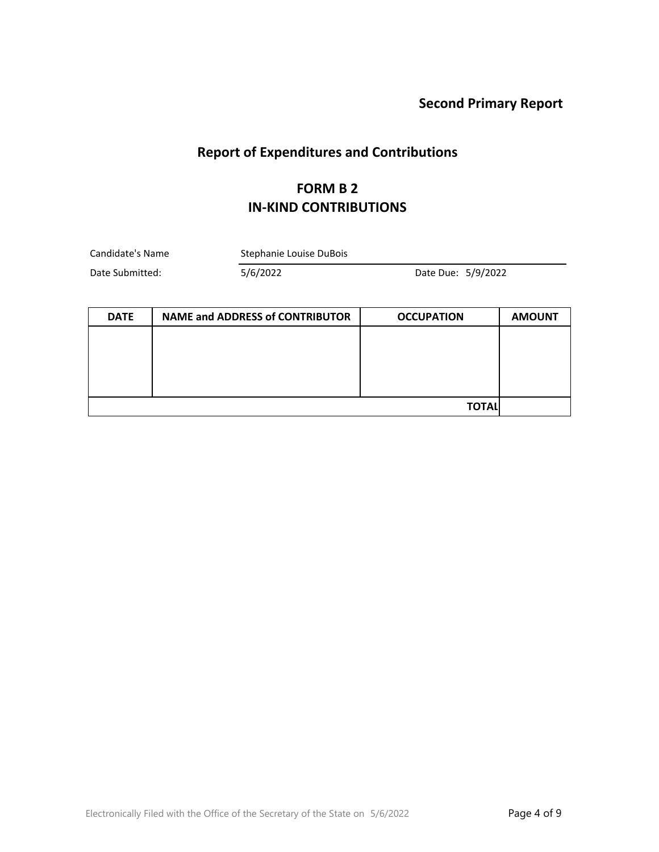# **Report of Expenditures and Contributions**

### **FORM B 2 IN-KIND CONTRIBUTIONS**

| Candidate's Name | Stephanie Louise DuBois |                    |  |
|------------------|-------------------------|--------------------|--|
| Date Submitted:  | 5/6/2022                | Date Due: 5/9/2022 |  |

| <b>DATE</b> | <b>NAME and ADDRESS of CONTRIBUTOR</b> | <b>OCCUPATION</b> | <b>AMOUNT</b> |
|-------------|----------------------------------------|-------------------|---------------|
|             |                                        |                   |               |
|             |                                        |                   |               |
|             |                                        |                   |               |
|             |                                        |                   |               |
|             |                                        | <b>TOTAL</b>      |               |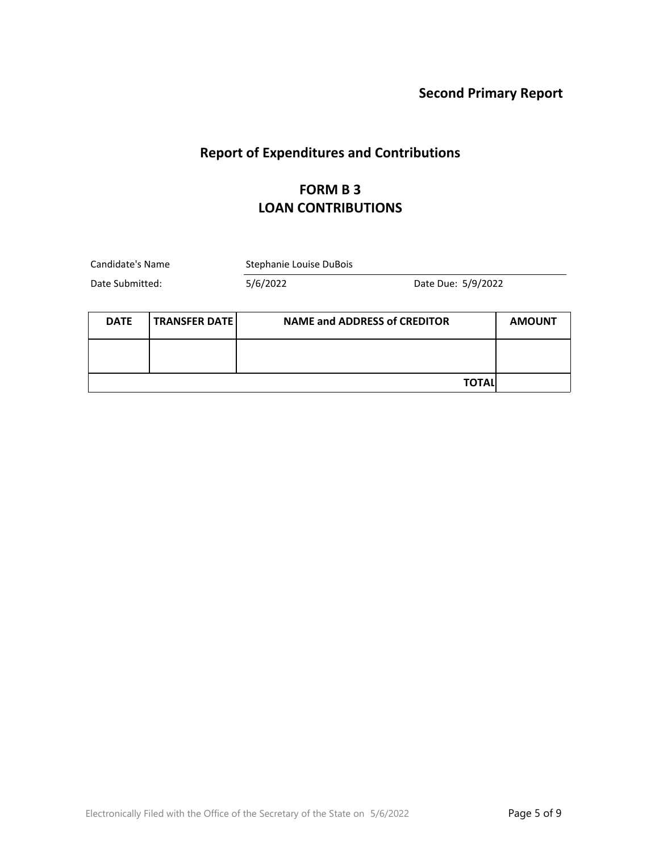# **Report of Expenditures and Contributions**

### **FORM B 3 LOAN CONTRIBUTIONS**

| Candidate's Name                    |  | Stephanie Louise DuBois             |                    |               |
|-------------------------------------|--|-------------------------------------|--------------------|---------------|
| Date Submitted:                     |  | 5/6/2022                            | Date Due: 5/9/2022 |               |
| <b>TRANSFER DATE</b><br><b>DATE</b> |  | <b>NAME and ADDRESS of CREDITOR</b> |                    | <b>AMOUNT</b> |
|                                     |  |                                     |                    |               |
|                                     |  |                                     | ΤΟΤΑΙ              |               |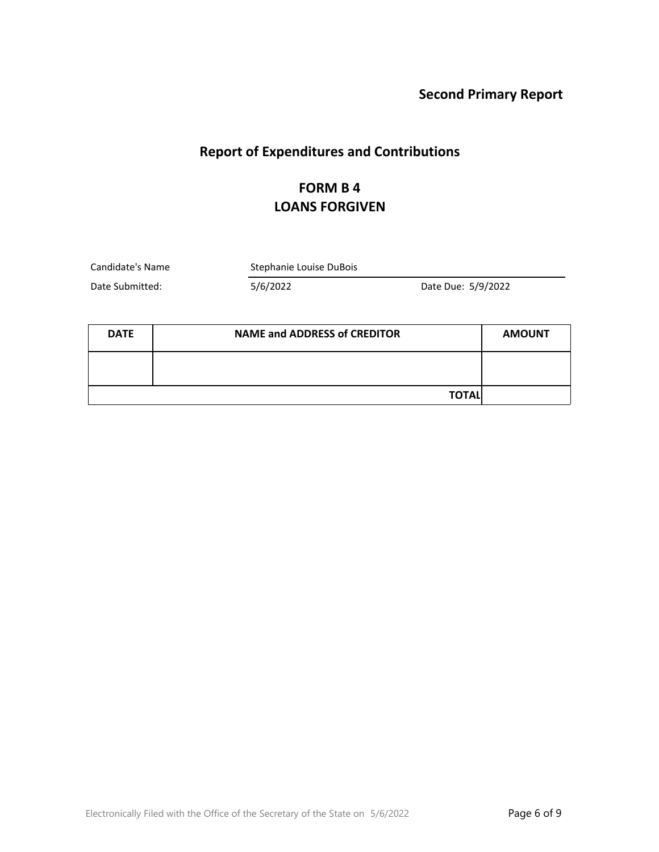## **Report of Expenditures and Contributions**

### **FORM B 4 LOANS FORGIVEN**

Candidate's Name Stephanie Louise DuBois

Date Submitted: 5/6/2022 Date Due: 5/9/2022

| <b>DATE</b> | <b>NAME and ADDRESS of CREDITOR</b> | <b>AMOUNT</b> |
|-------------|-------------------------------------|---------------|
|             |                                     |               |
|             | <b>TOTAL</b>                        |               |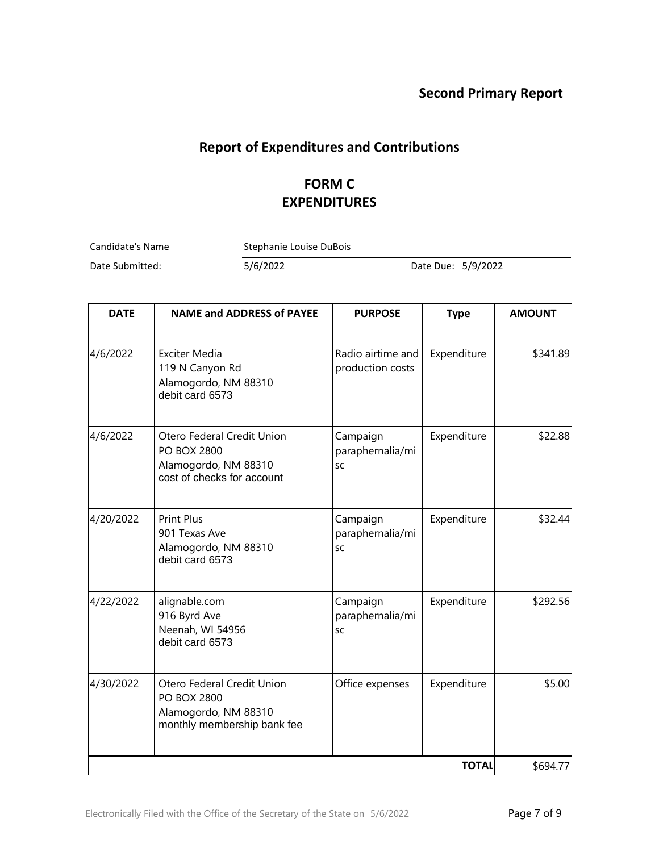## **Report of Expenditures and Contributions**

### **FORM C EXPENDITURES**

Candidate's Name Stephanie Louise DuBois

Date Submitted: 5/6/2022 Date Due: 5/9/2022

| <b>DATE</b> | <b>NAME and ADDRESS of PAYEE</b>                                                                        | <b>PURPOSE</b>                            | <b>Type</b>  | <b>AMOUNT</b> |
|-------------|---------------------------------------------------------------------------------------------------------|-------------------------------------------|--------------|---------------|
| 4/6/2022    | <b>Exciter Media</b><br>119 N Canyon Rd<br>Alamogordo, NM 88310<br>debit card 6573                      | Radio airtime and<br>production costs     | Expenditure  | \$341.89      |
| 4/6/2022    | Otero Federal Credit Union<br><b>PO BOX 2800</b><br>Alamogordo, NM 88310<br>cost of checks for account  | Campaign<br>paraphernalia/mi<br><b>SC</b> | Expenditure  | \$22.88       |
| 4/20/2022   | <b>Print Plus</b><br>901 Texas Ave<br>Alamogordo, NM 88310<br>debit card 6573                           | Campaign<br>paraphernalia/mi<br><b>SC</b> | Expenditure  | \$32.44       |
| 4/22/2022   | alignable.com<br>916 Byrd Ave<br>Neenah, WI 54956<br>debit card 6573                                    | Campaign<br>paraphernalia/mi<br><b>SC</b> | Expenditure  | \$292.56      |
| 4/30/2022   | Otero Federal Credit Union<br><b>PO BOX 2800</b><br>Alamogordo, NM 88310<br>monthly membership bank fee | Office expenses                           | Expenditure  | \$5.00        |
|             |                                                                                                         |                                           | <b>TOTAL</b> | \$694.77      |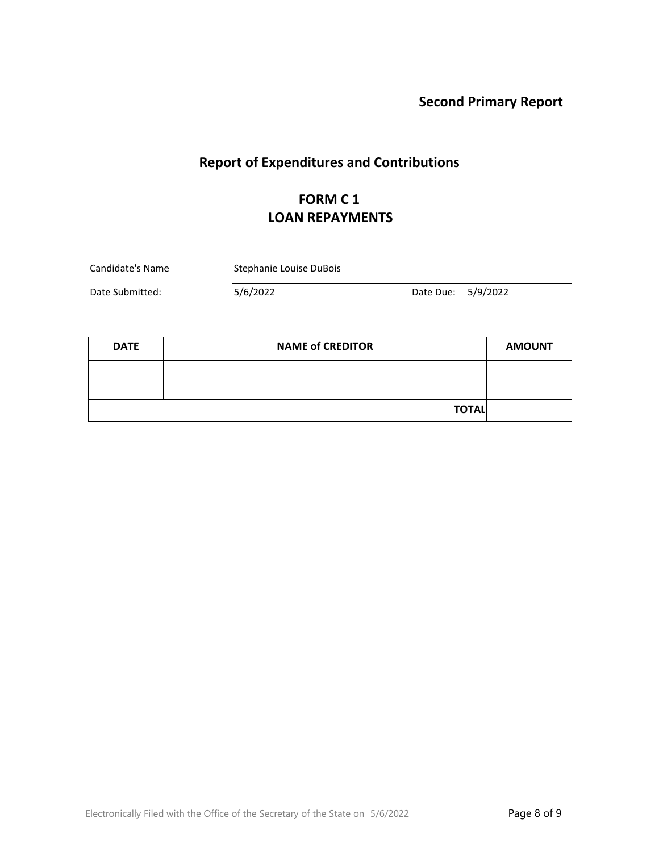# **Report of Expenditures and Contributions**

# **FORM C 1 LOAN REPAYMENTS**

| Candidate's Name | Stephanie Louise DuBois |                    |  |
|------------------|-------------------------|--------------------|--|
| Date Submitted:  | 5/6/2022                | Date Due: 5/9/2022 |  |

| <b>DATE</b> | <b>NAME of CREDITOR</b> |  |
|-------------|-------------------------|--|
|             |                         |  |
|             |                         |  |
|             | <b>TOTAL</b>            |  |